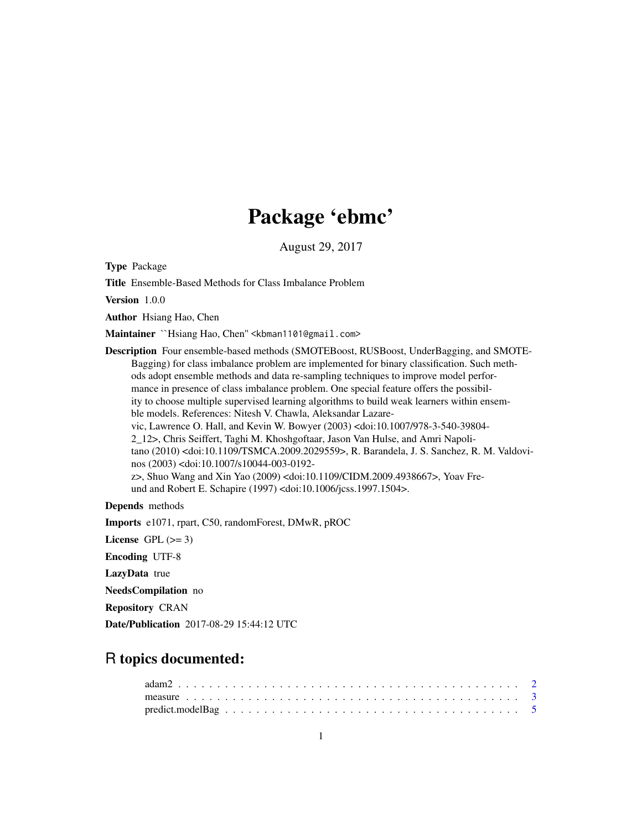## Package 'ebmc'

August 29, 2017

Type Package

Title Ensemble-Based Methods for Class Imbalance Problem

Version 1.0.0

Author Hsiang Hao, Chen

Maintainer ``Hsiang Hao, Chen" <kbman1101@gmail.com>

Description Four ensemble-based methods (SMOTEBoost, RUSBoost, UnderBagging, and SMOTE-Bagging) for class imbalance problem are implemented for binary classification. Such methods adopt ensemble methods and data re-sampling techniques to improve model performance in presence of class imbalance problem. One special feature offers the possibility to choose multiple supervised learning algorithms to build weak learners within ensemble models. References: Nitesh V. Chawla, Aleksandar Lazarevic, Lawrence O. Hall, and Kevin W. Bowyer (2003) <doi:10.1007/978-3-540-39804- 2\_12>, Chris Seiffert, Taghi M. Khoshgoftaar, Jason Van Hulse, and Amri Napolitano (2010) <doi:10.1109/TSMCA.2009.2029559>, R. Barandela, J. S. Sanchez, R. M. Valdovinos (2003) <doi:10.1007/s10044-003-0192 z>, Shuo Wang and Xin Yao (2009) <doi:10.1109/CIDM.2009.4938667>, Yoav Freund and Robert E. Schapire (1997) <doi:10.1006/jcss.1997.1504>.

#### Depends methods

Imports e1071, rpart, C50, randomForest, DMwR, pROC

License GPL  $(>= 3)$ 

Encoding UTF-8

LazyData true

NeedsCompilation no

Repository CRAN

Date/Publication 2017-08-29 15:44:12 UTC

### R topics documented: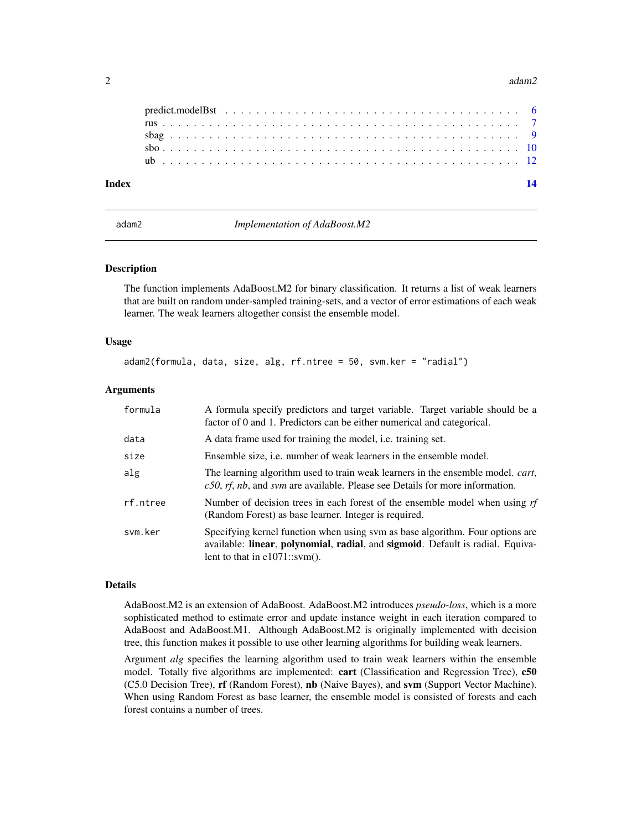#### <span id="page-1-0"></span>2 adam2

| Index |  |
|-------|--|
|       |  |
|       |  |
|       |  |
|       |  |
|       |  |

adam2 *Implementation of AdaBoost.M2*

#### Description

The function implements AdaBoost.M2 for binary classification. It returns a list of weak learners that are built on random under-sampled training-sets, and a vector of error estimations of each weak learner. The weak learners altogether consist the ensemble model.

### Usage

adam2(formula, data, size, alg, rf.ntree = 50, svm.ker = "radial")

#### Arguments

| formula  | A formula specify predictors and target variable. Target variable should be a<br>factor of 0 and 1. Predictors can be either numerical and categorical.                                             |
|----------|-----------------------------------------------------------------------------------------------------------------------------------------------------------------------------------------------------|
| data     | A data frame used for training the model, <i>i.e.</i> training set.                                                                                                                                 |
| size     | Ensemble size, <i>i.e.</i> number of weak learners in the ensemble model.                                                                                                                           |
| alg      | The learning algorithm used to train weak learners in the ensemble model. <i>cart</i> ,<br>$c50$ , rf, nb, and svm are available. Please see Details for more information.                          |
| rf.ntree | Number of decision trees in each forest of the ensemble model when using $rf$<br>(Random Forest) as base learner. Integer is required.                                                              |
| svm.ker  | Specifying kernel function when using sym as base algorithm. Four options are<br>available: linear, polynomial, radial, and sigmoid. Default is radial. Equiva-<br>lent to that in $e1071::sym()$ . |

#### Details

AdaBoost.M2 is an extension of AdaBoost. AdaBoost.M2 introduces *pseudo-loss*, which is a more sophisticated method to estimate error and update instance weight in each iteration compared to AdaBoost and AdaBoost.M1. Although AdaBoost.M2 is originally implemented with decision tree, this function makes it possible to use other learning algorithms for building weak learners.

Argument *alg* specifies the learning algorithm used to train weak learners within the ensemble model. Totally five algorithms are implemented: cart (Classification and Regression Tree), c50 (C5.0 Decision Tree), rf (Random Forest), nb (Naive Bayes), and svm (Support Vector Machine). When using Random Forest as base learner, the ensemble model is consisted of forests and each forest contains a number of trees.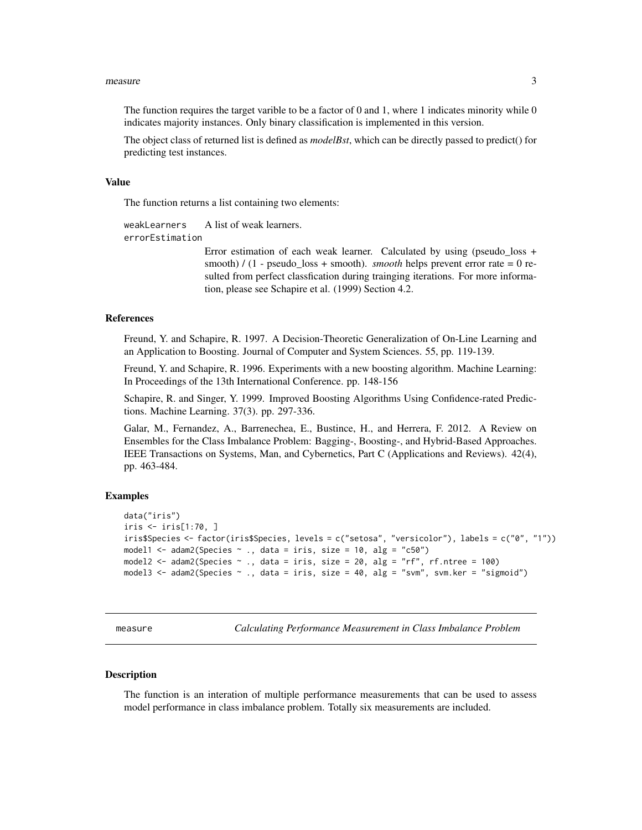#### <span id="page-2-0"></span>measure 3

The function requires the target varible to be a factor of 0 and 1, where 1 indicates minority while  $0$ indicates majority instances. Only binary classification is implemented in this version.

The object class of returned list is defined as *modelBst*, which can be directly passed to predict() for predicting test instances.

#### Value

The function returns a list containing two elements:

weakLearners A list of weak learners. errorEstimation

> Error estimation of each weak learner. Calculated by using (pseudo loss + smooth) / (1 - pseudo\_loss + smooth). *smooth* helps prevent error rate = 0 resulted from perfect classfication during trainging iterations. For more information, please see Schapire et al. (1999) Section 4.2.

#### References

Freund, Y. and Schapire, R. 1997. A Decision-Theoretic Generalization of On-Line Learning and an Application to Boosting. Journal of Computer and System Sciences. 55, pp. 119-139.

Freund, Y. and Schapire, R. 1996. Experiments with a new boosting algorithm. Machine Learning: In Proceedings of the 13th International Conference. pp. 148-156

Schapire, R. and Singer, Y. 1999. Improved Boosting Algorithms Using Confidence-rated Predictions. Machine Learning. 37(3). pp. 297-336.

Galar, M., Fernandez, A., Barrenechea, E., Bustince, H., and Herrera, F. 2012. A Review on Ensembles for the Class Imbalance Problem: Bagging-, Boosting-, and Hybrid-Based Approaches. IEEE Transactions on Systems, Man, and Cybernetics, Part C (Applications and Reviews). 42(4), pp. 463-484.

#### Examples

```
data("iris")
iris <- iris[1:70, ]
iris$Species <- factor(iris$Species, levels = c("setosa", "versicolor"), labels = c("0", "1"))
model1 <- adam2(Species \sim ., data = iris, size = 10, alg = "c50")
model2 <- adam2(Species ~ ., data = iris, size = 20, alg = "rf", rf.ntree = 100)
model3 \le - adam2(Species \sim ., data = iris, size = 40, alg = "svm", svm.ker = "sigmoid")
```
measure *Calculating Performance Measurement in Class Imbalance Problem*

#### Description

The function is an interation of multiple performance measurements that can be used to assess model performance in class imbalance problem. Totally six measurements are included.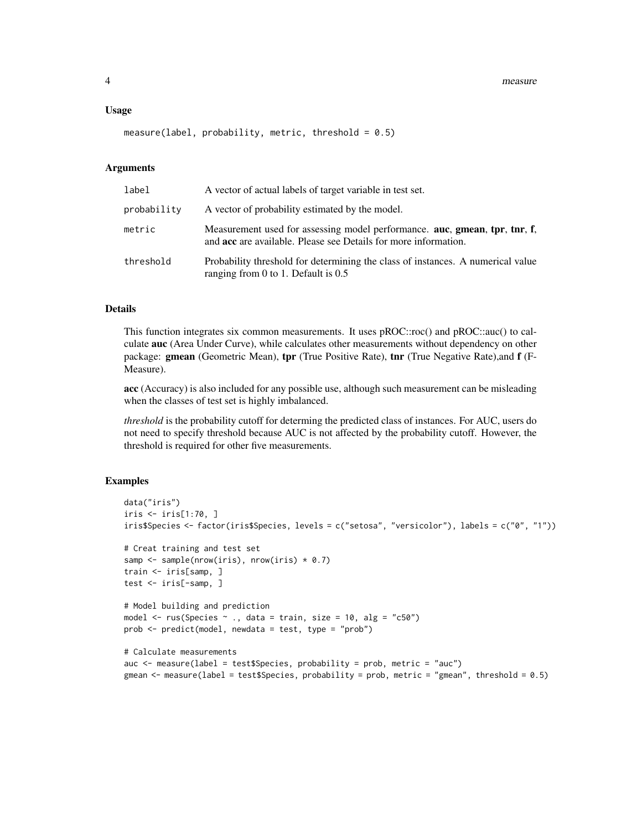4 measure and the contract of the contract of the contract of the contract of the contract of the contract of the contract of the contract of the contract of the contract of the contract of the contract of the contract of

#### Usage

measure(label, probability, metric, threshold =  $0.5$ )

#### Arguments

| label       | A vector of actual labels of target variable in test set.                                                                                            |
|-------------|------------------------------------------------------------------------------------------------------------------------------------------------------|
| probability | A vector of probability estimated by the model.                                                                                                      |
| metric      | Measurement used for assessing model performance. auc, gmean, tpr, tnr, f,<br>and <b>acc</b> are available. Please see Details for more information. |
| threshold   | Probability threshold for determining the class of instances. A numerical value<br>ranging from 0 to 1. Default is $0.5$                             |

#### Details

This function integrates six common measurements. It uses pROC::roc() and pROC::auc() to calculate auc (Area Under Curve), while calculates other measurements without dependency on other package: gmean (Geometric Mean), tpr (True Positive Rate), tnr (True Negative Rate),and f (F-Measure).

acc (Accuracy) is also included for any possible use, although such measurement can be misleading when the classes of test set is highly imbalanced.

*threshold* is the probability cutoff for determing the predicted class of instances. For AUC, users do not need to specify threshold because AUC is not affected by the probability cutoff. However, the threshold is required for other five measurements.

```
data("iris")
iris <- iris[1:70, ]
iris$Species <- factor(iris$Species, levels = c("setosa", "versicolor"), labels = c("0", "1"))
# Creat training and test set
samp \leq sample(nrow(iris), nrow(iris) \star 0.7)
train <- iris[samp, ]
test <- iris[-samp, ]
# Model building and prediction
model \le rus(Species \sim ., data = train, size = 10, alg = "c50")
prob <- predict(model, newdata = test, type = "prob")
# Calculate measurements
auc \leq measure(label = test$Species, probability = prob, metric = "auc")
gmean <- measure(label = test$Species, probability = prob, metric = "gmean", threshold = 0.5)
```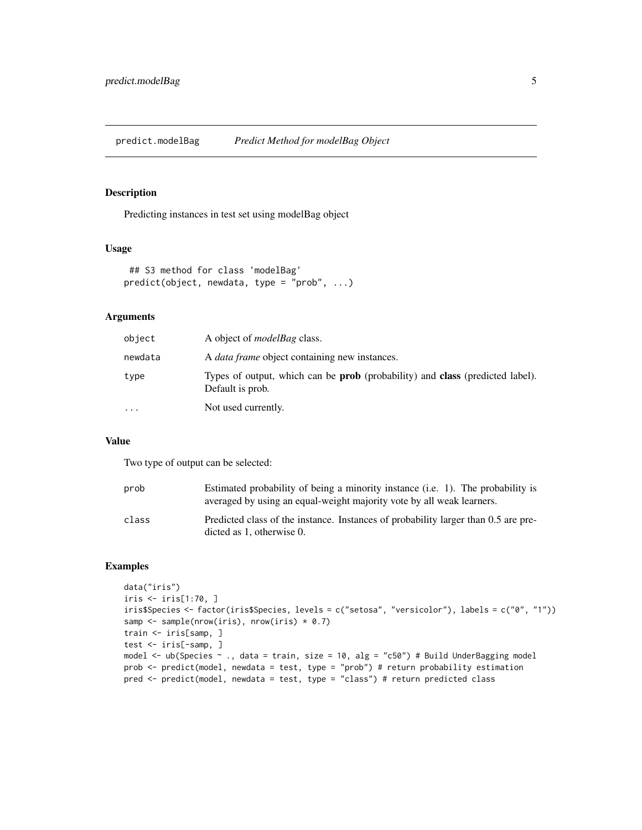<span id="page-4-0"></span>predict.modelBag *Predict Method for modelBag Object*

#### Description

Predicting instances in test set using modelBag object

#### Usage

```
## S3 method for class 'modelBag'
predict(object, newdata, type = "prob", ...)
```
### Arguments

| object    | A object of <i>modelBag</i> class.                                                                              |
|-----------|-----------------------------------------------------------------------------------------------------------------|
| newdata   | A <i>data frame</i> object containing new instances.                                                            |
| type      | Types of output, which can be <b>prob</b> (probability) and <b>class</b> (predicted label).<br>Default is prob. |
| $\ddotsc$ | Not used currently.                                                                                             |

#### Value

Two type of output can be selected:

| prob  | Estimated probability of being a minority instance (i.e. 1). The probability is<br>averaged by using an equal-weight majority vote by all weak learners. |
|-------|----------------------------------------------------------------------------------------------------------------------------------------------------------|
| class | Predicted class of the instance. Instances of probability larger than 0.5 are pre-<br>dicted as $1$ , otherwise $0$ .                                    |

```
data("iris")
iris <- iris[1:70, ]
iris$Species <- factor(iris$Species, levels = c("setosa", "versicolor"), labels = c("0", "1"))
samp <- sample(nrow(iris), nrow(iris) * 0.7)
train <- iris[samp, ]
test <- iris[-samp, ]
model <- ub(Species ~ ., data = train, size = 10, alg = "c50") # Build UnderBagging model
prob <- predict(model, newdata = test, type = "prob") # return probability estimation
pred <- predict(model, newdata = test, type = "class") # return predicted class
```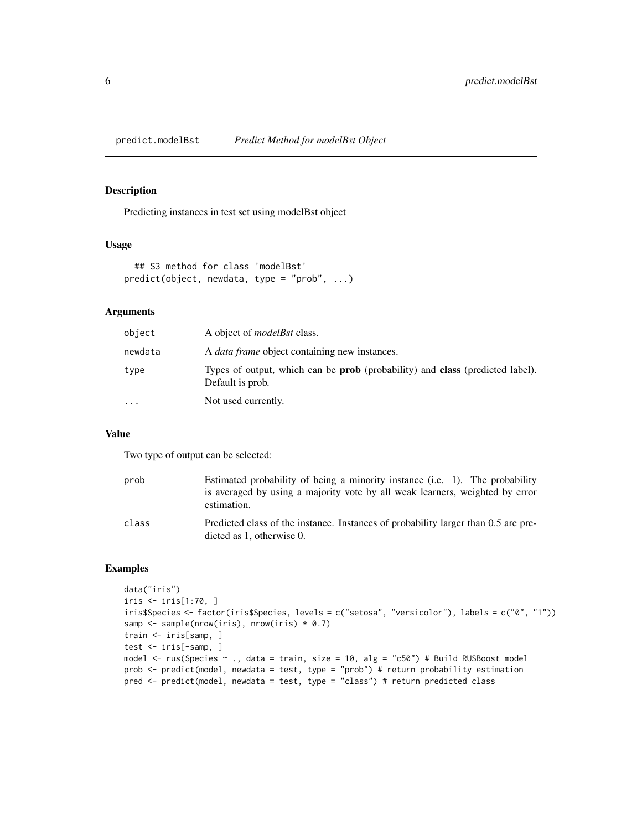<span id="page-5-0"></span>predict.modelBst *Predict Method for modelBst Object*

#### Description

Predicting instances in test set using modelBst object

#### Usage

```
## S3 method for class 'modelBst'
predict(object, newdata, type = "prob", ...)
```
### Arguments

| object    | A object of <i>modelBst</i> class.                                                                              |
|-----------|-----------------------------------------------------------------------------------------------------------------|
| newdata   | A <i>data frame</i> object containing new instances.                                                            |
| type      | Types of output, which can be <b>prob</b> (probability) and <b>class</b> (predicted label).<br>Default is prob. |
| $\ddotsc$ | Not used currently.                                                                                             |

#### Value

Two type of output can be selected:

| prob  | Estimated probability of being a minority instance (i.e. 1). The probability<br>is averaged by using a majority vote by all weak learners, weighted by error<br>estimation. |
|-------|-----------------------------------------------------------------------------------------------------------------------------------------------------------------------------|
| class | Predicted class of the instance. Instances of probability larger than 0.5 are pre-<br>dicted as $1$ , otherwise $0$ .                                                       |

```
data("iris")
iris <- iris[1:70, ]
iris$Species <- factor(iris$Species, levels = c("setosa", "versicolor"), labels = c("0", "1"))
samp <- sample(nrow(iris), nrow(iris) * 0.7)
train <- iris[samp, ]
test <- iris[-samp, ]
model <- rus(Species ~ ., data = train, size = 10, alg = "c50") # Build RUSBoost model
prob <- predict(model, newdata = test, type = "prob") # return probability estimation
pred <- predict(model, newdata = test, type = "class") # return predicted class
```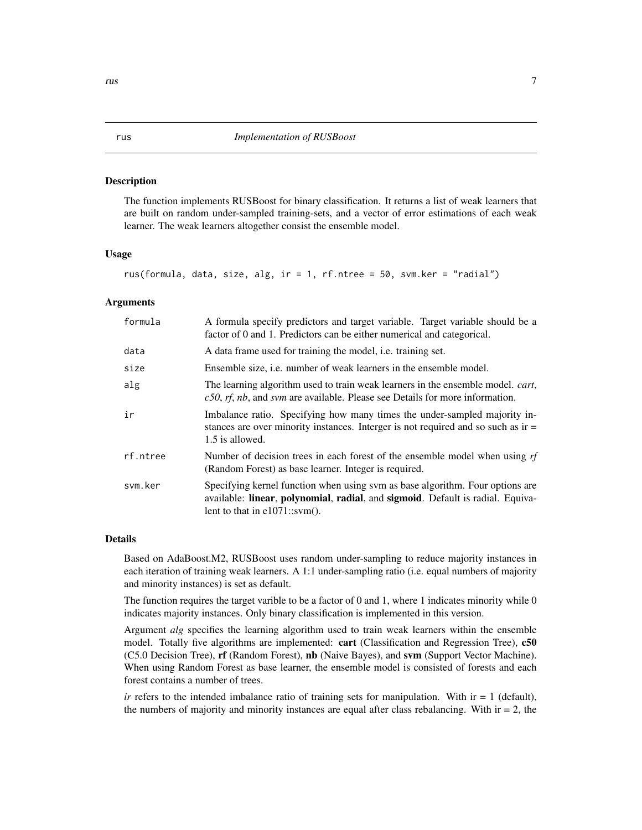#### <span id="page-6-0"></span>**Description**

The function implements RUSBoost for binary classification. It returns a list of weak learners that are built on random under-sampled training-sets, and a vector of error estimations of each weak learner. The weak learners altogether consist the ensemble model.

#### Usage

```
rus(formula, data, size, alg, ir = 1, rf.ntree = 50, svm.ker = "radial")
```
#### Arguments

| formula  | A formula specify predictors and target variable. Target variable should be a<br>factor of 0 and 1. Predictors can be either numerical and categorical.                                             |
|----------|-----------------------------------------------------------------------------------------------------------------------------------------------------------------------------------------------------|
| data     | A data frame used for training the model, <i>i.e.</i> training set.                                                                                                                                 |
| size     | Ensemble size, <i>i.e.</i> number of weak learners in the ensemble model.                                                                                                                           |
| alg      | The learning algorithm used to train weak learners in the ensemble model. <i>cart</i> ,<br>$c50$ , rf, nb, and svm are available. Please see Details for more information.                          |
| ir       | Imbalance ratio. Specifying how many times the under-sampled majority in-<br>stances are over minority instances. Interger is not required and so such as ir =<br>1.5 is allowed.                   |
| rf.ntree | Number of decision trees in each forest of the ensemble model when using $rf$<br>(Random Forest) as base learner. Integer is required.                                                              |
| svm.ker  | Specifying kernel function when using sym as base algorithm. Four options are<br>available: linear, polynomial, radial, and sigmoid. Default is radial. Equiva-<br>lent to that in $e1071::sym()$ . |

#### Details

Based on AdaBoost.M2, RUSBoost uses random under-sampling to reduce majority instances in each iteration of training weak learners. A 1:1 under-sampling ratio (i.e. equal numbers of majority and minority instances) is set as default.

The function requires the target varible to be a factor of 0 and 1, where 1 indicates minority while 0 indicates majority instances. Only binary classification is implemented in this version.

Argument *alg* specifies the learning algorithm used to train weak learners within the ensemble model. Totally five algorithms are implemented: cart (Classification and Regression Tree), c50 (C5.0 Decision Tree), rf (Random Forest), nb (Naive Bayes), and svm (Support Vector Machine). When using Random Forest as base learner, the ensemble model is consisted of forests and each forest contains a number of trees.

*ir* refers to the intended imbalance ratio of training sets for manipulation. With  $ir = 1$  (default), the numbers of majority and minority instances are equal after class rebalancing. With  $ir = 2$ , the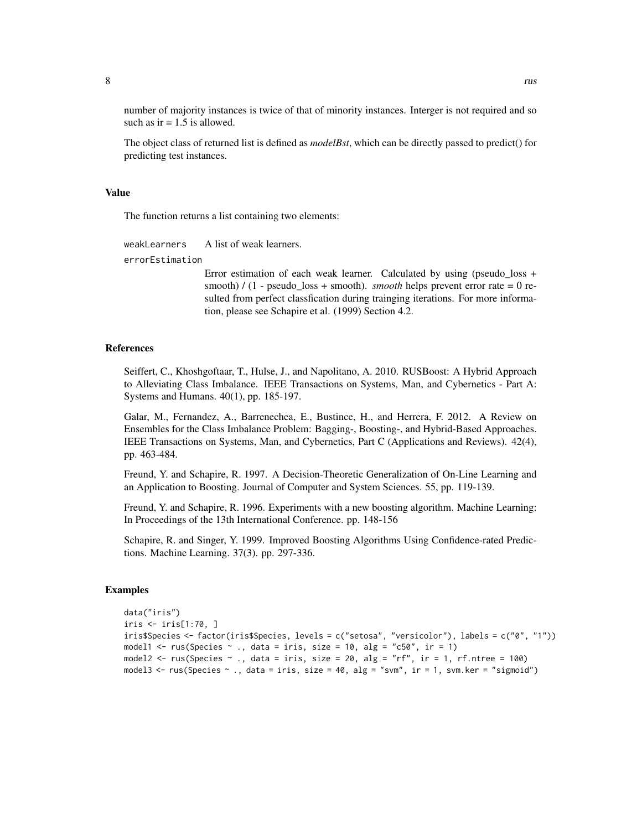number of majority instances is twice of that of minority instances. Interger is not required and so such as  $ir = 1.5$  is allowed.

The object class of returned list is defined as *modelBst*, which can be directly passed to predict() for predicting test instances.

#### Value

The function returns a list containing two elements:

```
weakLearners A list of weak learners.
errorEstimation
```
Error estimation of each weak learner. Calculated by using (pseudo loss + smooth) / (1 - pseudo\_loss + smooth). *smooth* helps prevent error rate = 0 resulted from perfect classfication during trainging iterations. For more information, please see Schapire et al. (1999) Section 4.2.

#### References

Seiffert, C., Khoshgoftaar, T., Hulse, J., and Napolitano, A. 2010. RUSBoost: A Hybrid Approach to Alleviating Class Imbalance. IEEE Transactions on Systems, Man, and Cybernetics - Part A: Systems and Humans. 40(1), pp. 185-197.

Galar, M., Fernandez, A., Barrenechea, E., Bustince, H., and Herrera, F. 2012. A Review on Ensembles for the Class Imbalance Problem: Bagging-, Boosting-, and Hybrid-Based Approaches. IEEE Transactions on Systems, Man, and Cybernetics, Part C (Applications and Reviews). 42(4), pp. 463-484.

Freund, Y. and Schapire, R. 1997. A Decision-Theoretic Generalization of On-Line Learning and an Application to Boosting. Journal of Computer and System Sciences. 55, pp. 119-139.

Freund, Y. and Schapire, R. 1996. Experiments with a new boosting algorithm. Machine Learning: In Proceedings of the 13th International Conference. pp. 148-156

Schapire, R. and Singer, Y. 1999. Improved Boosting Algorithms Using Confidence-rated Predictions. Machine Learning. 37(3). pp. 297-336.

```
data("iris")
iris <- iris[1:70, ]
iris$Species <- factor(iris$Species, levels = c("setosa", "versicolor"), labels = c("0", "1"))
model1 <- rus(Species \sim ., data = iris, size = 10, alg = "c50", ir = 1)
model2 \le rus(Species \sim ., data = iris, size = 20, alg = "rf", ir = 1, rf.ntree = 100)
model3 <- rus(Species ~ ., data = iris, size = 40, alg = "svm", ir = 1, svm.ker = "sigmoid")
```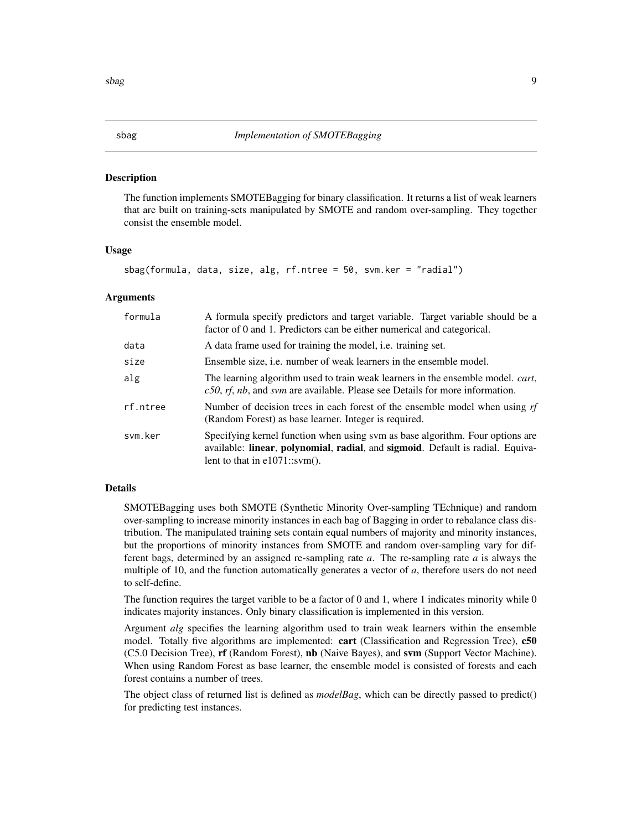#### <span id="page-8-0"></span>Description

The function implements SMOTEBagging for binary classification. It returns a list of weak learners that are built on training-sets manipulated by SMOTE and random over-sampling. They together consist the ensemble model.

#### Usage

```
sbag(formula, data, size, alg, rf.ntree = 50, svm.ker = "radial")
```
### Arguments

| formula  | A formula specify predictors and target variable. Target variable should be a<br>factor of 0 and 1. Predictors can be either numerical and categorical.                                                                             |
|----------|-------------------------------------------------------------------------------------------------------------------------------------------------------------------------------------------------------------------------------------|
| data     | A data frame used for training the model, <i>i.e.</i> training set.                                                                                                                                                                 |
| size     | Ensemble size, <i>i.e.</i> number of weak learners in the ensemble model.                                                                                                                                                           |
| alg      | The learning algorithm used to train weak learners in the ensemble model. <i>cart</i> ,<br>$c50$ , rf, nb, and svm are available. Please see Details for more information.                                                          |
| rf.ntree | Number of decision trees in each forest of the ensemble model when using $rf$<br>(Random Forest) as base learner. Integer is required.                                                                                              |
| svm.ker  | Specifying kernel function when using sym as base algorithm. Four options are<br>available: <b>linear</b> , <b>polynomial</b> , <b>radial</b> , and <b>sigmoid</b> . Default is radial. Equiva-<br>lent to that in $e1071::sym()$ . |

#### Details

SMOTEBagging uses both SMOTE (Synthetic Minority Over-sampling TEchnique) and random over-sampling to increase minority instances in each bag of Bagging in order to rebalance class distribution. The manipulated training sets contain equal numbers of majority and minority instances, but the proportions of minority instances from SMOTE and random over-sampling vary for different bags, determined by an assigned re-sampling rate *a*. The re-sampling rate *a* is always the multiple of 10, and the function automatically generates a vector of *a*, therefore users do not need to self-define.

The function requires the target varible to be a factor of 0 and 1, where 1 indicates minority while 0 indicates majority instances. Only binary classification is implemented in this version.

Argument *alg* specifies the learning algorithm used to train weak learners within the ensemble model. Totally five algorithms are implemented: **cart** (Classification and Regression Tree), **c50** (C5.0 Decision Tree), rf (Random Forest), nb (Naive Bayes), and svm (Support Vector Machine). When using Random Forest as base learner, the ensemble model is consisted of forests and each forest contains a number of trees.

The object class of returned list is defined as *modelBag*, which can be directly passed to predict() for predicting test instances.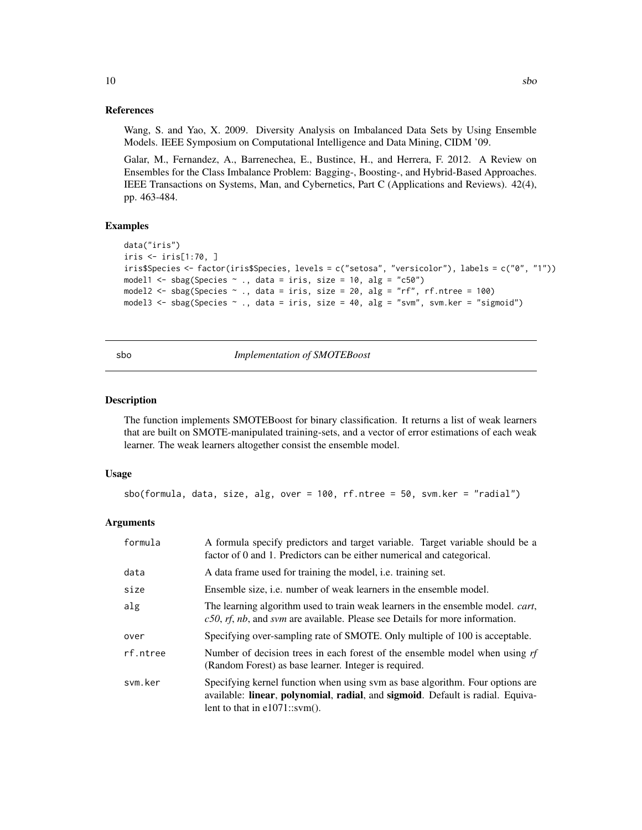#### References

Wang, S. and Yao, X. 2009. Diversity Analysis on Imbalanced Data Sets by Using Ensemble Models. IEEE Symposium on Computational Intelligence and Data Mining, CIDM '09.

Galar, M., Fernandez, A., Barrenechea, E., Bustince, H., and Herrera, F. 2012. A Review on Ensembles for the Class Imbalance Problem: Bagging-, Boosting-, and Hybrid-Based Approaches. IEEE Transactions on Systems, Man, and Cybernetics, Part C (Applications and Reviews). 42(4), pp. 463-484.

#### Examples

```
data("iris")
iris <- iris[1:70, ]
iris$Species <- factor(iris$Species, levels = c("setosa", "versicolor"), labels = c("0", "1"))
model1 <- sbag(Species \sim ., data = iris, size = 10, alg = "c50")
model2 <- sbag(Species \sim ., data = iris, size = 20, alg = "rf", rf.ntree = 100)
model3 <- sbag(Species ~ ., data = iris, size = 40, alg = "svm", svm.ker = "sigmoid")
```
sbo *Implementation of SMOTEBoost*

#### Description

The function implements SMOTEBoost for binary classification. It returns a list of weak learners that are built on SMOTE-manipulated training-sets, and a vector of error estimations of each weak learner. The weak learners altogether consist the ensemble model.

#### Usage

```
sbo(formula, data, size, alg, over = 100, rf.ntree = 50, svm.ker = "radial")
```
#### Arguments

| formula  | A formula specify predictors and target variable. Target variable should be a<br>factor of 0 and 1. Predictors can be either numerical and categorical.                                             |
|----------|-----------------------------------------------------------------------------------------------------------------------------------------------------------------------------------------------------|
| data     | A data frame used for training the model, <i>i.e.</i> training set.                                                                                                                                 |
| size     | Ensemble size, <i>i.e.</i> number of weak learners in the ensemble model.                                                                                                                           |
| alg      | The learning algorithm used to train weak learners in the ensemble model. <i>cart</i> ,<br>$c50$ , rf, nb, and svm are available. Please see Details for more information.                          |
| over     | Specifying over-sampling rate of SMOTE. Only multiple of 100 is acceptable.                                                                                                                         |
| rf.ntree | Number of decision trees in each forest of the ensemble model when using $rf$<br>(Random Forest) as base learner. Integer is required.                                                              |
| svm.ker  | Specifying kernel function when using sym as base algorithm. Four options are<br>available: linear, polynomial, radial, and sigmoid. Default is radial. Equiva-<br>lent to that in $e1071::sym()$ . |

<span id="page-9-0"></span> $10$  sboth  $s$ both  $s$ both  $s$ both  $s$ both  $s$ both  $s$ both  $s$ both  $s$ both  $s$ both  $s$ both  $s$ both  $s$ both  $s$ both  $s$ both  $s$ both  $s$ both  $s$ both  $s$ both  $s$ both  $s$ both  $s$ both  $s$ both  $s$ both  $s$ both  $s$ both  $s$ both  $s$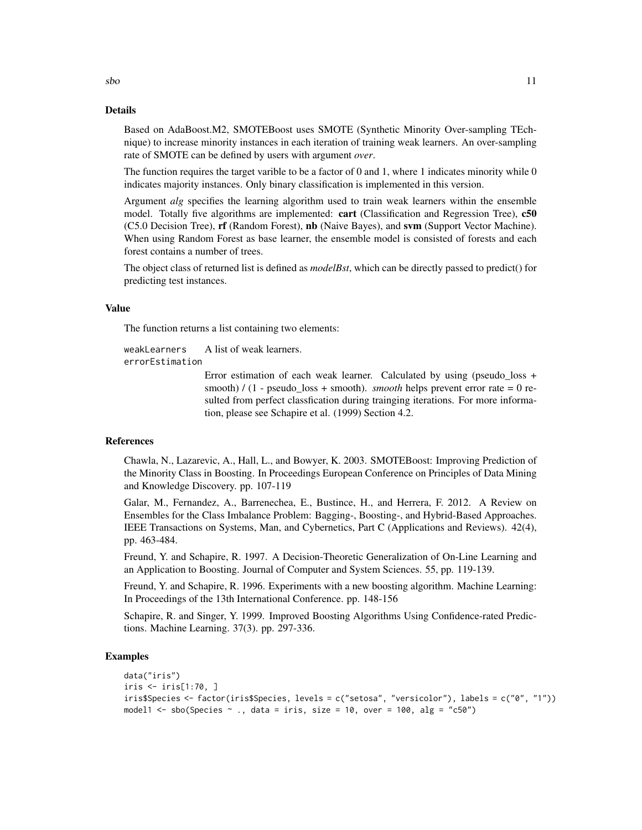#### Details

Based on AdaBoost.M2, SMOTEBoost uses SMOTE (Synthetic Minority Over-sampling TEchnique) to increase minority instances in each iteration of training weak learners. An over-sampling rate of SMOTE can be defined by users with argument *over*.

The function requires the target varible to be a factor of 0 and 1, where 1 indicates minority while  $0$ indicates majority instances. Only binary classification is implemented in this version.

Argument *alg* specifies the learning algorithm used to train weak learners within the ensemble model. Totally five algorithms are implemented: cart (Classification and Regression Tree), c50 (C5.0 Decision Tree), rf (Random Forest), nb (Naive Bayes), and svm (Support Vector Machine). When using Random Forest as base learner, the ensemble model is consisted of forests and each forest contains a number of trees.

The object class of returned list is defined as *modelBst*, which can be directly passed to predict() for predicting test instances.

#### Value

The function returns a list containing two elements:

```
weakLearners A list of weak learners.
errorEstimation
```
Error estimation of each weak learner. Calculated by using (pseudo\_loss + smooth) / (1 - pseudo\_loss + smooth). *smooth* helps prevent error rate = 0 resulted from perfect classfication during trainging iterations. For more information, please see Schapire et al. (1999) Section 4.2.

#### References

Chawla, N., Lazarevic, A., Hall, L., and Bowyer, K. 2003. SMOTEBoost: Improving Prediction of the Minority Class in Boosting. In Proceedings European Conference on Principles of Data Mining and Knowledge Discovery. pp. 107-119

Galar, M., Fernandez, A., Barrenechea, E., Bustince, H., and Herrera, F. 2012. A Review on Ensembles for the Class Imbalance Problem: Bagging-, Boosting-, and Hybrid-Based Approaches. IEEE Transactions on Systems, Man, and Cybernetics, Part C (Applications and Reviews). 42(4), pp. 463-484.

Freund, Y. and Schapire, R. 1997. A Decision-Theoretic Generalization of On-Line Learning and an Application to Boosting. Journal of Computer and System Sciences. 55, pp. 119-139.

Freund, Y. and Schapire, R. 1996. Experiments with a new boosting algorithm. Machine Learning: In Proceedings of the 13th International Conference. pp. 148-156

Schapire, R. and Singer, Y. 1999. Improved Boosting Algorithms Using Confidence-rated Predictions. Machine Learning. 37(3). pp. 297-336.

### Examples

```
data("iris")
iris <- iris[1:70, ]
iris$Species <- factor(iris$Species, levels = c("setosa", "versicolor"), labels = c("0", "1"))
model1 <- sbo(Species \sim ., data = iris, size = 10, over = 100, alg = "c50")
```
 $sbo$  11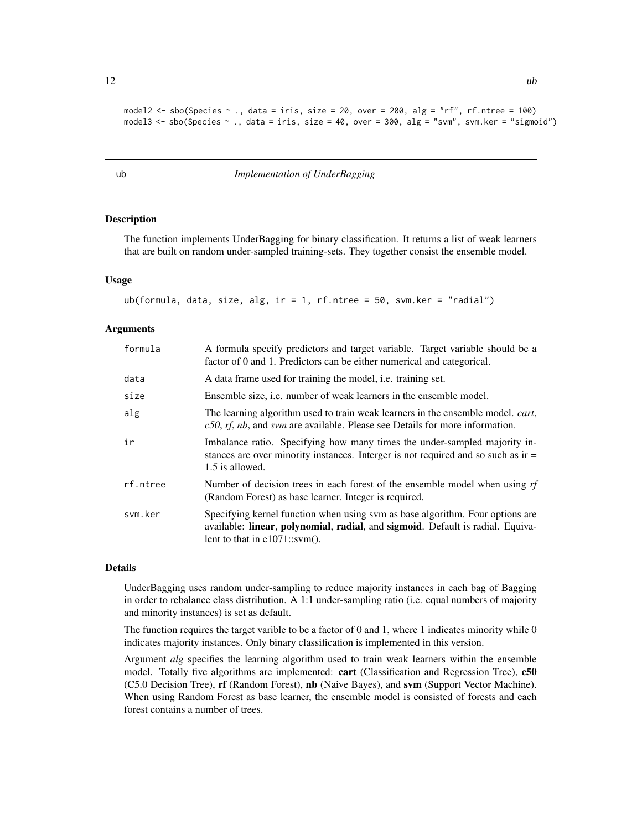```
model2 <- sbo(Species \sim ., data = iris, size = 20, over = 200, alg = "rf", rf.ntree = 100)
model3 <- sbo(Species ~ ., data = iris, size = 40, over = 300, alg = "svm", svm.ker = "sigmoid")
```
ub *Implementation of UnderBagging*

#### Description

The function implements UnderBagging for binary classification. It returns a list of weak learners that are built on random under-sampled training-sets. They together consist the ensemble model.

#### Usage

```
ub(formula, data, size, alg, ir = 1, rf.ntree = 50, svm.ker = "radial")
```
#### Arguments

| formula  | A formula specify predictors and target variable. Target variable should be a<br>factor of 0 and 1. Predictors can be either numerical and categorical.                                                                             |
|----------|-------------------------------------------------------------------------------------------------------------------------------------------------------------------------------------------------------------------------------------|
| data     | A data frame used for training the model, <i>i.e.</i> training set.                                                                                                                                                                 |
| size     | Ensemble size, <i>i.e.</i> number of weak learners in the ensemble model.                                                                                                                                                           |
| alg      | The learning algorithm used to train weak learners in the ensemble model. <i>cart</i> ,<br>$c50$ , rf, nb, and svm are available. Please see Details for more information.                                                          |
| ir       | Imbalance ratio. Specifying how many times the under-sampled majority in-<br>stances are over minority instances. Interger is not required and so such as $ir =$<br>1.5 is allowed.                                                 |
| rf.ntree | Number of decision trees in each forest of the ensemble model when using $rf$<br>(Random Forest) as base learner. Integer is required.                                                                                              |
| svm.ker  | Specifying kernel function when using sym as base algorithm. Four options are<br>available: <b>linear</b> , <b>polynomial</b> , <b>radial</b> , and <b>sigmoid</b> . Default is radial. Equiva-<br>lent to that in $e1071::sym()$ . |

#### Details

UnderBagging uses random under-sampling to reduce majority instances in each bag of Bagging in order to rebalance class distribution. A 1:1 under-sampling ratio (i.e. equal numbers of majority and minority instances) is set as default.

The function requires the target varible to be a factor of 0 and 1, where 1 indicates minority while 0 indicates majority instances. Only binary classification is implemented in this version.

Argument *alg* specifies the learning algorithm used to train weak learners within the ensemble model. Totally five algorithms are implemented: **cart** (Classification and Regression Tree), **c50** (C5.0 Decision Tree), rf (Random Forest), nb (Naive Bayes), and svm (Support Vector Machine). When using Random Forest as base learner, the ensemble model is consisted of forests and each forest contains a number of trees.

<span id="page-11-0"></span> $12$  ub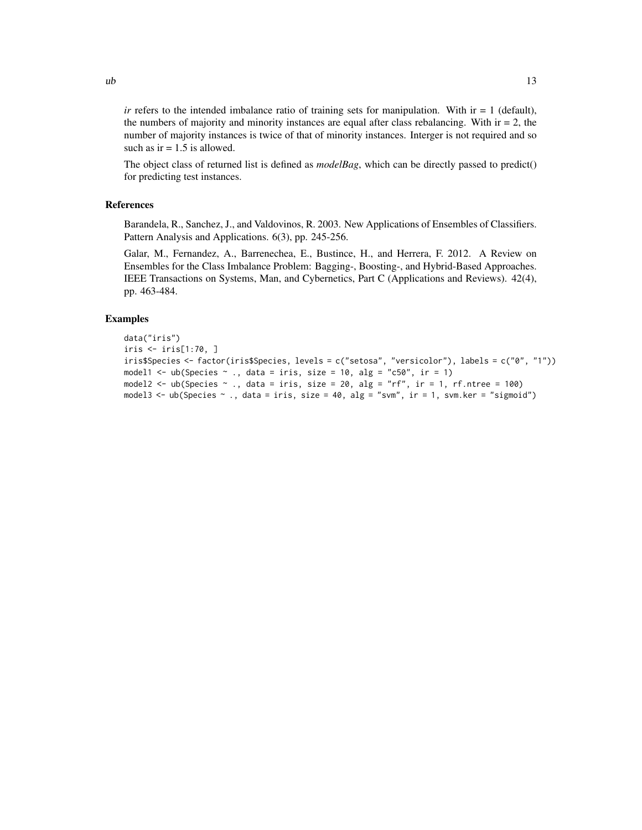*ir* refers to the intended imbalance ratio of training sets for manipulation. With  $ir = 1$  (default), the numbers of majority and minority instances are equal after class rebalancing. With  $ir = 2$ , the number of majority instances is twice of that of minority instances. Interger is not required and so such as  $ir = 1.5$  is allowed.

The object class of returned list is defined as *modelBag*, which can be directly passed to predict() for predicting test instances.

#### References

Barandela, R., Sanchez, J., and Valdovinos, R. 2003. New Applications of Ensembles of Classifiers. Pattern Analysis and Applications. 6(3), pp. 245-256.

Galar, M., Fernandez, A., Barrenechea, E., Bustince, H., and Herrera, F. 2012. A Review on Ensembles for the Class Imbalance Problem: Bagging-, Boosting-, and Hybrid-Based Approaches. IEEE Transactions on Systems, Man, and Cybernetics, Part C (Applications and Reviews). 42(4), pp. 463-484.

```
data("iris")
iris <- iris[1:70, ]
iris$Species <- factor(iris$Species, levels = c("setosa", "versicolor"), labels = c("0", "1"))
model1 <- ub(Species \sim ., data = iris, size = 10, alg = "c50", ir = 1)
model2 \leq - ub(Species \sim ., data = iris, size = 20, alg = "rf", ir = 1, rf.ntree = 100)
model3 \leq ub(Species \sim ., data = iris, size = 40, alg = "svm", ir = 1, svm.ker = "sigmoid")
```